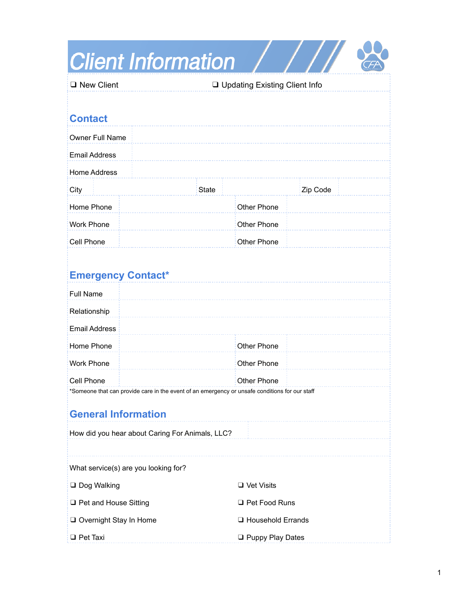| <b>Client Information</b>                                                                                    |                                 |                     |          |  |
|--------------------------------------------------------------------------------------------------------------|---------------------------------|---------------------|----------|--|
| $\Box$ New Client                                                                                            | □ Updating Existing Client Info |                     |          |  |
|                                                                                                              |                                 |                     |          |  |
| <b>Contact</b>                                                                                               |                                 |                     |          |  |
| <b>Owner Full Name</b>                                                                                       |                                 |                     |          |  |
| <b>Email Address</b>                                                                                         |                                 |                     |          |  |
| <b>Home Address</b>                                                                                          |                                 |                     |          |  |
| City                                                                                                         | <b>State</b>                    |                     | Zip Code |  |
| Home Phone                                                                                                   |                                 | Other Phone         |          |  |
| <b>Work Phone</b>                                                                                            |                                 | Other Phone         |          |  |
| Cell Phone                                                                                                   |                                 | <b>Other Phone</b>  |          |  |
| <b>Emergency Contact*</b>                                                                                    |                                 |                     |          |  |
| <b>Full Name</b>                                                                                             |                                 |                     |          |  |
| Relationship                                                                                                 |                                 |                     |          |  |
| <b>Email Address</b>                                                                                         |                                 |                     |          |  |
| Home Phone                                                                                                   |                                 | <b>Other Phone</b>  |          |  |
| <b>Work Phone</b>                                                                                            |                                 | <b>Other Phone</b>  |          |  |
| Cell Phone<br>*Someone that can provide care in the event of an emergency or unsafe conditions for our staff |                                 | <b>Other Phone</b>  |          |  |
| <b>General Information</b>                                                                                   |                                 |                     |          |  |
| How did you hear about Caring For Animals, LLC?                                                              |                                 |                     |          |  |
|                                                                                                              |                                 |                     |          |  |
| What service(s) are you looking for?                                                                         |                                 |                     |          |  |
| □ Dog Walking                                                                                                |                                 | $\Box$ Vet Visits   |          |  |
| □ Pet and House Sitting                                                                                      |                                 | □ Pet Food Runs     |          |  |
| Overnight Stay In Home                                                                                       |                                 | □ Household Errands |          |  |
| $\Box$ Pet Taxi                                                                                              |                                 | □ Puppy Play Dates  |          |  |